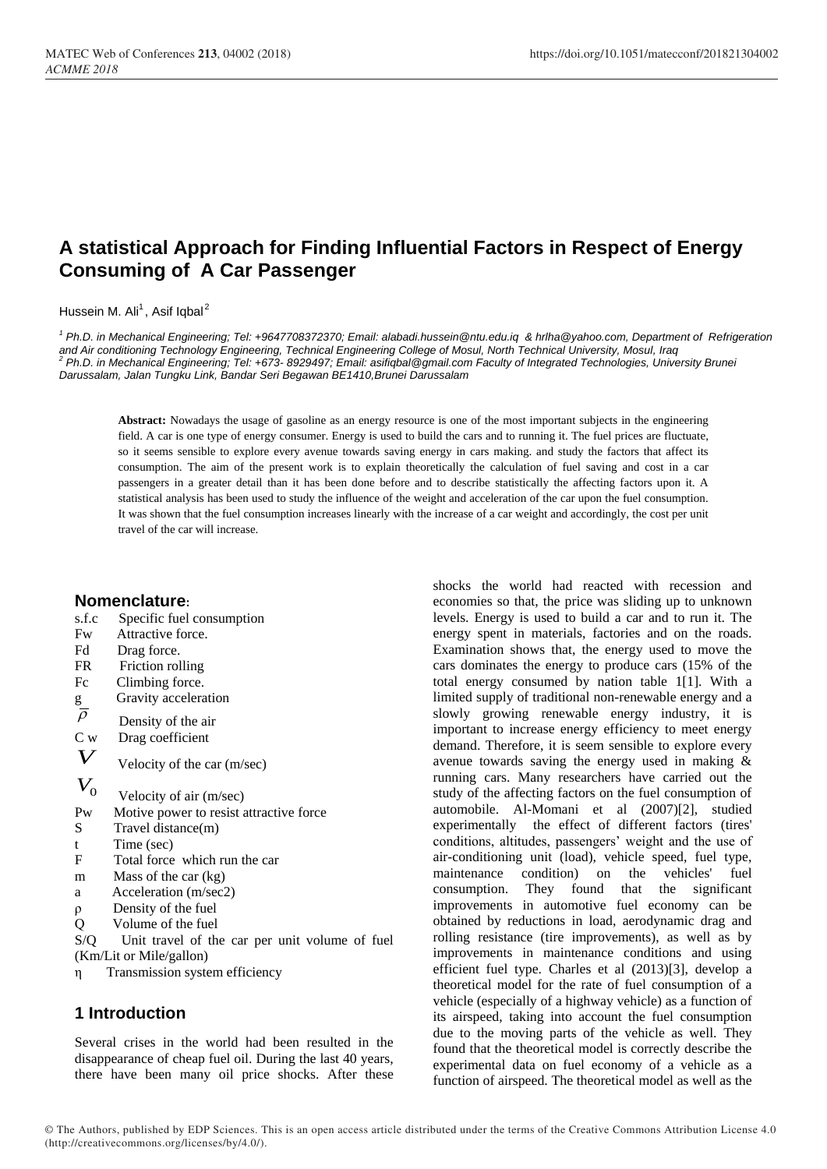# **A statistical Approach for Finding Influential Factors in Respect of Energy Consuming of A Car Passenger**

Hussein M. Ali<sup>1</sup>, Asif Iqbal<sup>2</sup>

*1 Ph.D. in Mechanical Engineering; Tel: +9647708372370; Email: alabadi.hussein@ntu.edu.iq & hrlha@yahoo.com, Department of Refrigeration*  and Air conditioning Technology Engineering, Technical Engineering College of Mosul, North Technical University, Mosul, Iraq<br><sup>2</sup> Ph.D. in Mechanical Engineering; Tel: +673- 8929497; Email: asifiqbal@gmail.com Faculty of In *Darussalam, Jalan Tungku Link, Bandar Seri Begawan BE1410,Brunei Darussalam*

**Abstract:** Nowadays the usage of gasoline as an energy resource is one of the most important subjects in the engineering field. A car is one type of energy consumer. Energy is used to build the cars and to running it. The fuel prices are fluctuate, so it seems sensible to explore every avenue towards saving energy in cars making. and study the factors that affect its consumption. The aim of the present work is to explain theoretically the calculation of fuel saving and cost in a car passengers in a greater detail than it has been done before and to describe statistically the affecting factors upon it. A statistical analysis has been used to study the influence of the weight and acceleration of the car upon the fuel consumption. It was shown that the fuel consumption increases linearly with the increase of a car weight and accordingly, the cost per unit travel of the car will increase.

#### **Nomenclature:** Specific fuel

| 8.I.C                       | Specific Tuel consumption                      |
|-----------------------------|------------------------------------------------|
| Fw                          | Attractive force.                              |
| Fd                          | Drag force.                                    |
| FR                          | Friction rolling                               |
| Fc                          | Climbing force.                                |
| $\frac{g}{\overline{\rho}}$ | Gravity acceleration                           |
|                             | Density of the air                             |
| C <sub>w</sub>              | Drag coefficient                               |
| $\boldsymbol{V}$            | Velocity of the car (m/sec)                    |
| $\boldsymbol{V_0}$          | Velocity of air (m/sec)                        |
| Pw                          | Motive power to resist attractive force        |
| S.                          | Travel distance(m)                             |
| t                           | Time (sec)                                     |
| F                           | Total force which run the car                  |
| m                           | Mass of the car (kg)                           |
| a                           | Acceleration (m/sec2)                          |
| ρ                           | Density of the fuel                            |
| Q                           | Volume of the fuel                             |
| S/Q                         | Unit travel of the car per unit volume of fuel |
|                             | (Km/Lit or Mile/gallon)                        |
| η                           | Transmission system efficiency                 |
|                             |                                                |

## **1 Introduction**

Several crises in the world had been resulted in the disappearance of cheap fuel oil. During the last 40 years, there have been many oil price shocks. After these shocks the world had reacted with recession and economies so that, the price was sliding up to unknown levels. Energy is used to build a car and to run it. The energy spent in materials, factories and on the roads. Examination shows that, the energy used to move the cars dominates the energy to produce cars (15% of the total energy consumed by nation table 1[1]. With a limited supply of traditional non-renewable energy and a slowly growing renewable energy industry, it is important to increase energy efficiency to meet energy demand. Therefore, it is seem sensible to explore every avenue towards saving the energy used in making & running cars. Many researchers have carried out the study of the affecting factors on the fuel consumption of automobile. Al-Momani et al (2007)[2], studied experimentally the effect of different factors (tires' conditions, altitudes, passengers' weight and the use of air-conditioning unit (load), vehicle speed, fuel type, maintenance condition) on the vehicles' fuel consumption. They found that the significant improvements in automotive fuel economy can be obtained by reductions in load, aerodynamic drag and rolling resistance (tire improvements), as well as by improvements in maintenance conditions and using efficient fuel type. Charles et al (2013)[3], develop a theoretical model for the rate of fuel consumption of a vehicle (especially of a highway vehicle) as a function of its airspeed, taking into account the fuel consumption due to the moving parts of the vehicle as well. They found that the theoretical model is correctly describe the experimental data on fuel economy of a vehicle as a function of airspeed. The theoretical model as well as the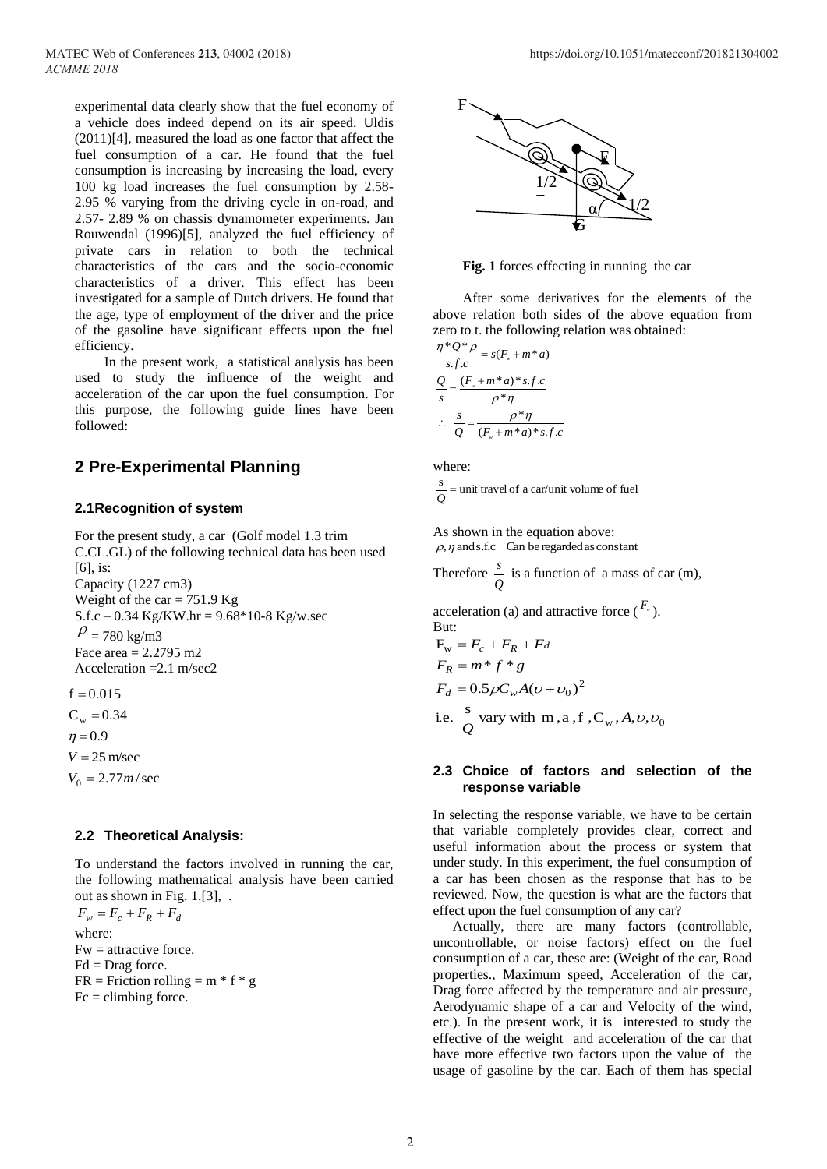experimental data clearly show that the fuel economy of a vehicle does indeed depend on its air speed. Uldis (2011)[4], measured the load as one factor that affect the fuel consumption of a car. He found that the fuel consumption is increasing by increasing the load, every 100 kg load increases the fuel consumption by 2.58- 2.95 % varying from the driving cycle in on-road, and 2.57- 2.89 % on chassis dynamometer experiments. Jan Rouwendal (1996)[5], analyzed the fuel efficiency of private cars in relation to both the technical characteristics of the cars and the socio-economic characteristics of a driver. This effect has been investigated for a sample of Dutch drivers. He found that the age, type of employment of the driver and the price of the gasoline have significant effects upon the fuel efficiency.

In the present work, a statistical analysis has been used to study the influence of the weight and acceleration of the car upon the fuel consumption. For this purpose, the following guide lines have been followed:

## **2 Pre-Experimental Planning**

## **2.1Recognition of system**

For the present study, a car (Golf model 1.3 trim C.CL.GL) of the following technical data has been used [6], is: Capacity (1227 cm3) Weight of the car =  $751.9$  Kg  $S.f.c - 0.34$  Kg/KW.hr = 9.68\*10-8 Kg/w.sec  $P = 780$  kg/m3 Face area  $= 2.2795$  m<sup>2</sup> Acceleration =2.1 m/sec2

 $\eta = 0.9$  $C_w = 0.34$  $f = 0.015$ 

 $V = 25$  m/sec

# $V_0 = 2.77 m/sec$

## **2.2 Theoretical Analysis:**

To understand the factors involved in running the car, the following mathematical analysis have been carried out as shown in Fig. 1.[3], .

$$
F_w = F_c + F_R + F_d
$$
  
where:  
FW = attractive force.  
Fd = Drag force.  
FR = Friction rolling = m \* f \* g  
Fc = climbing force.



**Fig. 1** forces effecting in running the car

After some derivatives for the elements of the above relation both sides of the above equation from zero to t. the following relation was obtained:

$$
\frac{\eta^* Q^* \rho}{s.f.c} = s(F_* + m^* a)
$$

$$
\frac{Q}{s} = \frac{(F_* + m^* a)^* s.f.c}{\rho^* \eta}
$$

$$
\therefore \frac{s}{Q} = \frac{\rho^* \eta}{(F_* + m^* a)^* s.f.c}
$$

where:

 $\frac{s}{Q}$  = unit travel of a car/unit volume of fuel

As shown in the equation above:  $\rho$ ,  $\eta$  and s.f.c Can be regarded as constant

Therefore  $\frac{3}{Q}$  $\frac{s}{s}$  is a function of a mass of car (m),

acceleration (a) and attractive force  $(F^{\nu}_{\nu})$ . But:

$$
F_w = F_c + F_R + F_d
$$
  
\n
$$
F_R = m * f * g
$$
  
\n
$$
F_d = 0.5 \rho C_w A (v + v_0)^2
$$
  
\ni.e.  $\frac{s}{Q}$  vary with m, a, f, C<sub>w</sub>, A, v, v<sub>0</sub>

## **2.3 Choice of factors and selection of the response variable**

In selecting the response variable, we have to be certain that variable completely provides clear, correct and useful information about the process or system that under study. In this experiment, the fuel consumption of a car has been chosen as the response that has to be reviewed. Now, the question is what are the factors that effect upon the fuel consumption of any car?

Actually, there are many factors (controllable, uncontrollable, or noise factors) effect on the fuel consumption of a car, these are: (Weight of the car, Road properties., Maximum speed, Acceleration of the car, Drag force affected by the temperature and air pressure, Aerodynamic shape of a car and Velocity of the wind, etc.). In the present work, it is interested to study the effective of the weight and acceleration of the car that have more effective two factors upon the value of the usage of gasoline by the car. Each of them has special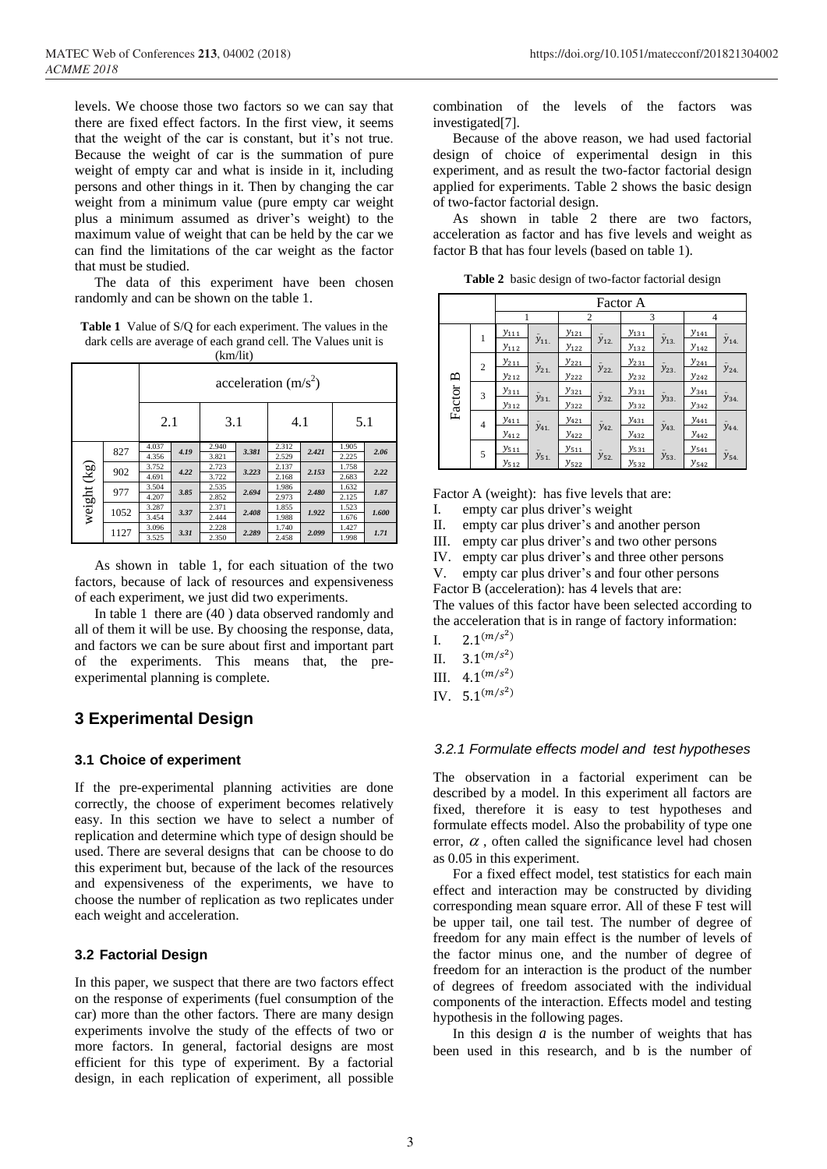levels. We choose those two factors so we can say that there are fixed effect factors. In the first view, it seems that the weight of the car is constant, but it's not true. Because the weight of car is the summation of pure weight of empty car and what is inside in it, including persons and other things in it. Then by changing the car weight from a minimum value (pure empty car weight plus a minimum assumed as driver's weight) to the maximum value of weight that can be held by the car we can find the limitations of the car weight as the factor that must be studied.

The data of this experiment have been chosen randomly and can be shown on the table 1.

**Table 1** Value of S/Q for each experiment. The values in the dark cells are average of each grand cell. The Values unit is (km/lit)

|             |      | acceleration $(m/s^2)$ |            |                |       |                |       |                |       |
|-------------|------|------------------------|------------|----------------|-------|----------------|-------|----------------|-------|
|             |      |                        | 2.1<br>3.1 |                | 4.1   |                |       | 5.1            |       |
|             | 827  | 4.037<br>4.356         | 4.19       | 2.940<br>3.821 | 3.381 | 2.312<br>2.529 | 2.421 | 1.905<br>2.225 | 2.06  |
|             | 902  | 3.752<br>4.691         | 4.22       | 2.723<br>3.722 | 3.223 | 2.137<br>2.168 | 2.153 | 1.758<br>2.683 | 2.22  |
|             | 977  | 3.504<br>4.207         | 3.85       | 2.535<br>2.852 | 2.694 | 1.986<br>2.973 | 2.480 | 1.632<br>2.125 | 1.87  |
| weight (kg) | 1052 | 3.287<br>3.454         | 3.37       | 2.371<br>2.444 | 2.408 | 1.855<br>1.988 | 1.922 | 1.523<br>1.676 | 1.600 |
|             | 1127 | 3.096<br>3.525         | 3.31       | 2.228<br>2.350 | 2.289 | 1.740<br>2.458 | 2.099 | 1.427<br>1.998 | 1.71  |

As shown in table 1, for each situation of the two factors, because of lack of resources and expensiveness of each experiment, we just did two experiments.

In table 1 there are (40 ) data observed randomly and all of them it will be use. By choosing the response, data, and factors we can be sure about first and important part of the experiments. This means that, the preexperimental planning is complete.

## **3 Experimental Design**

## **3.1 Choice of experiment**

If the pre-experimental planning activities are done correctly, the choose of experiment becomes relatively easy. In this section we have to select a number of replication and determine which type of design should be used. There are several designs that can be choose to do this experiment but, because of the lack of the resources and expensiveness of the experiments, we have to choose the number of replication as two replicates under each weight and acceleration.

## **3.2 Factorial Design**

In this paper, we suspect that there are two factors effect on the response of experiments (fuel consumption of the car) more than the other factors. There are many design experiments involve the study of the effects of two or more factors. In general, factorial designs are most efficient for this type of experiment. By a factorial design, in each replication of experiment, all possible combination of the levels of the factors was investigated[7].

Because of the above reason, we had used factorial design of choice of experimental design in this experiment, and as result the two-factor factorial design applied for experiments. Table 2 shows the basic design of two-factor factorial design.

As shown in table 2 there are two factors, acceleration as factor and has five levels and weight as factor B that has four levels (based on table 1).

**Table 2** basic design of two-factor factorial design

|              |                | Factor A  |           |           |           |              |           |                         |                 |  |
|--------------|----------------|-----------|-----------|-----------|-----------|--------------|-----------|-------------------------|-----------------|--|
|              |                |           |           | 2         |           | 3            |           | 4                       |                 |  |
|              | 1              | $y_{111}$ |           | $y_{121}$ |           | $y_{131}$    |           | $y_{141}$               |                 |  |
|              |                | $y_{112}$ | $y_{11.}$ | $y_{122}$ | $y_{12}$  | $y_{132}$    | $y_{13.}$ | $y_{142}$               | $\bar{y}_{14.}$ |  |
|              | $\overline{c}$ | $y_{211}$ |           | $y_{221}$ |           | $y_{231}$    |           | $y_{241}$               |                 |  |
| $\mathbf{p}$ |                | $y_{212}$ | $y_{21}$  | $y_{222}$ | $y_{22}$  | $y_{232}$    | $y_{23}$  | $y_{242}$               | $\bar{y}_{24.}$ |  |
| Factor       | 3              | $y_{311}$ |           | $y_{321}$ |           | $y_{331}$    |           | $y_{341}$               | $\bar{y}_{34.}$ |  |
|              |                | $y_{312}$ | $y_{31.}$ | $y_{322}$ | $y_{32.}$ | $y_{332}$    | $y_{33}$  | $y_{342}$               |                 |  |
|              | 4              | $y_{411}$ |           | $y_{421}$ |           | $y_{431}$    |           | $y_{441}$               |                 |  |
|              |                | $y_{412}$ | $y_{41.}$ | $y_{422}$ | $y_{42.}$ | $y_{432}$    | $y_{43}$  | $y_{442}$               | $\bar{y}_{44.}$ |  |
|              | 5              | $y_{511}$ |           | $y_{511}$ |           | $y_{531}$    |           | $y_{541}$               |                 |  |
|              |                | $y_{512}$ | $y_{51.}$ | $y_{522}$ | $y_{52.}$ | <i>y</i> 532 | $y_{53}$  | <i>y</i> <sub>542</sub> | $\bar{y}_{54.}$ |  |

Factor A (weight): has five levels that are:

- I. empty car plus driver's weight
- II. empty car plus driver's and another person
- III. empty car plus driver's and two other persons
- IV. empty car plus driver's and three other persons
- V. empty car plus driver's and four other persons

Factor B (acceleration): has 4 levels that are:

The values of this factor have been selected according to the acceleration that is in range of factory information:

- I.  $2.1^{(m/s^2)}$
- II.  $3.1^{(m/s^2)}$
- III.  $4.1^{(m/s^2)}$
- IV.  $5.1^{(m/s^2)}$

## *3.2.1 Formulate effects model and test hypotheses*

The observation in a factorial experiment can be described by a model. In this experiment all factors are fixed, therefore it is easy to test hypotheses and formulate effects model. Also the probability of type one error,  $\alpha$ , often called the significance level had chosen as 0.05 in this experiment.

For a fixed effect model, test statistics for each main effect and interaction may be constructed by dividing corresponding mean square error. All of these F test will be upper tail, one tail test. The number of degree of freedom for any main effect is the number of levels of the factor minus one, and the number of degree of freedom for an interaction is the product of the number of degrees of freedom associated with the individual components of the interaction. Effects model and testing hypothesis in the following pages.

In this design *a* is the number of weights that has been used in this research, and b is the number of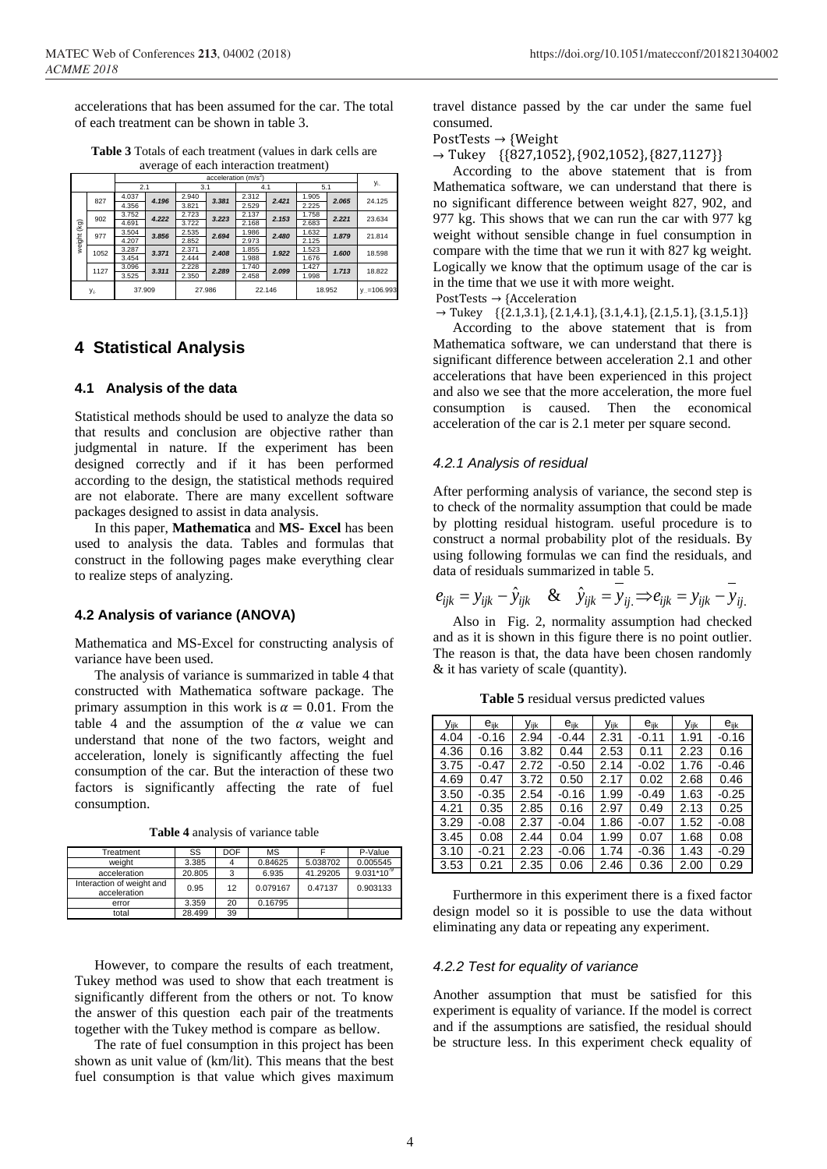accelerations that has been assumed for the car. The total of each treatment can be shown in table 3.

**Table 3** Totals of each treatment (values in dark cells are average of each interaction treatment)

|                 |      | acceleration $(m/s^2)$ |       |       |        |       |        |       |        |                       |
|-----------------|------|------------------------|-------|-------|--------|-------|--------|-------|--------|-----------------------|
|                 |      | 2.1                    |       | 3.1   |        | 4.1   |        | 5.1   |        | <b>y</b> <sub>i</sub> |
|                 | 827  | 4.037                  | 4.196 | 2.940 | 3.381  | 2.312 | 2.421  | 1.905 | 2.065  | 24.125                |
|                 |      | 4.356                  |       | 3.821 |        | 2.529 |        | 2.225 |        |                       |
|                 | 902  | 3.752                  | 4.222 | 2.723 | 3.223  | 2.137 | 2.153  | 1.758 | 2.221  | 23.634                |
| $(\mathsf{kg})$ |      | 4.691                  |       | 3.722 |        | 2.168 |        | 2.683 |        |                       |
|                 | 977  | 3.504                  | 3.856 | 2.535 | 2.694  | 1.986 | 2.480  | 1.632 | 1.879  | 21.814                |
| weight (        |      | 4.207                  |       | 2.852 |        | 2.973 |        | 2.125 |        |                       |
|                 | 1052 | 3.287                  | 3.371 | 2.371 | 2.408  | 1.855 | 1.922  | 1.523 | 1.600  | 18.598                |
|                 |      | 3.454                  |       | 2.444 |        | 1.988 |        | 1.676 |        |                       |
|                 | 1127 | 3.096                  | 3.311 | 2.228 | 2.289  | 1.740 | 2.099  | 1.427 | 1.713  | 18.822                |
|                 |      | 3.525                  |       | 2.350 |        | 2.458 |        | 1.998 |        |                       |
| У.ј.            |      | 37,909                 |       |       | 27.986 |       | 22.146 |       | 18.952 | $y = 106.993$         |

## **4 Statistical Analysis**

#### **4.1 Analysis of the data**

Statistical methods should be used to analyze the data so that results and conclusion are objective rather than judgmental in nature. If the experiment has been designed correctly and if it has been performed according to the design, the statistical methods required are not elaborate. There are many excellent software packages designed to assist in data analysis.

In this paper, **Mathematica** and **MS- Excel** has been used to analysis the data. Tables and formulas that construct in the following pages make everything clear to realize steps of analyzing.

#### **4.2 Analysis of variance (ANOVA)**

Mathematica and MS-Excel for constructing analysis of variance have been used.

The analysis of variance is summarized in table 4 that constructed with Mathematica software package. The primary assumption in this work is  $\alpha = 0.01$ . From the table 4 and the assumption of the  $\alpha$  value we can understand that none of the two factors, weight and acceleration, lonely is significantly affecting the fuel consumption of the car. But the interaction of these two factors is significantly affecting the rate of fuel consumption.

**Table 4** analysis of variance table

| Treatment                                 | SS     | DOF | MS       |          | P-Value      |
|-------------------------------------------|--------|-----|----------|----------|--------------|
| weight                                    | 3.385  |     | 0.84625  | 5.038702 | 0.005545     |
| acceleration                              | 20.805 | 3   | 6.935    | 41.29205 | $9.031*10-9$ |
| Interaction of weight and<br>acceleration | 0.95   | 12  | 0.079167 | 0.47137  | 0.903133     |
| error                                     | 3.359  | 20  | 0.16795  |          |              |
| total                                     | 28.499 | 39  |          |          |              |

However, to compare the results of each treatment, Tukey method was used to show that each treatment is significantly different from the others or not. To know the answer of this question each pair of the treatments together with the Tukey method is compare as bellow.

The rate of fuel consumption in this project has been shown as unit value of (km/lit). This means that the best fuel consumption is that value which gives maximum travel distance passed by the car under the same fuel consumed.

PostTests → {Weight

 $\rightarrow$  Tukey {{827,1052}, {902,1052}, {827,1127}}

According to the above statement that is from Mathematica software, we can understand that there is no significant difference between weight 827, 902, and 977 kg. This shows that we can run the car with 977 kg weight without sensible change in fuel consumption in compare with the time that we run it with 827 kg weight. Logically we know that the optimum usage of the car is in the time that we use it with more weight.

PostTests → {Acceleration

 $\rightarrow$  Tukey {{2.1,3.1}, {2.1,4.1}, {3.1,4.1}, {2.1,5.1}, {3.1,5.1}}

According to the above statement that is from Mathematica software, we can understand that there is significant difference between acceleration 2.1 and other accelerations that have been experienced in this project and also we see that the more acceleration, the more fuel consumption is caused. Then the economical acceleration of the car is 2.1 meter per square second.

#### *4.2.1 Analysis of residual*

After performing analysis of variance, the second step is to check of the normality assumption that could be made by plotting residual histogram. useful procedure is to construct a normal probability plot of the residuals. By using following formulas we can find the residuals, and data of residuals summarized in table 5.

$$
e_{ijk} = y_{ijk} - \hat{y}_{ijk} \quad \& \quad \hat{y}_{ijk} = y_{ij} \Longrightarrow e_{ijk} = y_{ijk} - y_{ij}.
$$

Also in Fig. 2, normality assumption had checked and as it is shown in this figure there is no point outlier. The reason is that, the data have been chosen randomly & it has variety of scale (quantity).

**Table 5** residual versus predicted values

| Vijk | $e_{ik}$ | Vijk | $e_{ik}$ | Vijk | $e_{ijk}$ | Vijk | e <sub>ijk</sub> |
|------|----------|------|----------|------|-----------|------|------------------|
| 4.04 | $-0.16$  | 2.94 | $-0.44$  | 2.31 | $-0.11$   | 1.91 | -0.16            |
| 4.36 | 0.16     | 3.82 | 0.44     | 2.53 | 0.11      | 2.23 | 0.16             |
| 3.75 | $-0.47$  | 2.72 | $-0.50$  | 2.14 | $-0.02$   | 1.76 | $-0.46$          |
| 4.69 | 0.47     | 3.72 | 0.50     | 2.17 | 0.02      | 2.68 | 0.46             |
| 3.50 | $-0.35$  | 2.54 | -0.16    | 1.99 | $-0.49$   | 1.63 | $-0.25$          |
| 4.21 | 0.35     | 2.85 | 0.16     | 2.97 | 0.49      | 2.13 | 0.25             |
| 3.29 | $-0.08$  | 2.37 | $-0.04$  | 1.86 | $-0.07$   | 1.52 | $-0.08$          |
| 3.45 | 0.08     | 2.44 | 0.04     | 1.99 | 0.07      | 1.68 | 0.08             |
| 3.10 | $-0.21$  | 2.23 | -0.06    | 1.74 | $-0.36$   | 1.43 | $-0.29$          |
| 3.53 | 0.21     | 2.35 | 0.06     | 2.46 | 0.36      | 2.00 | 0.29             |

Furthermore in this experiment there is a fixed factor design model so it is possible to use the data without eliminating any data or repeating any experiment.

#### *4.2.2 Test for equality of variance*

Another assumption that must be satisfied for this experiment is equality of variance. If the model is correct and if the assumptions are satisfied, the residual should be structure less. In this experiment check equality of